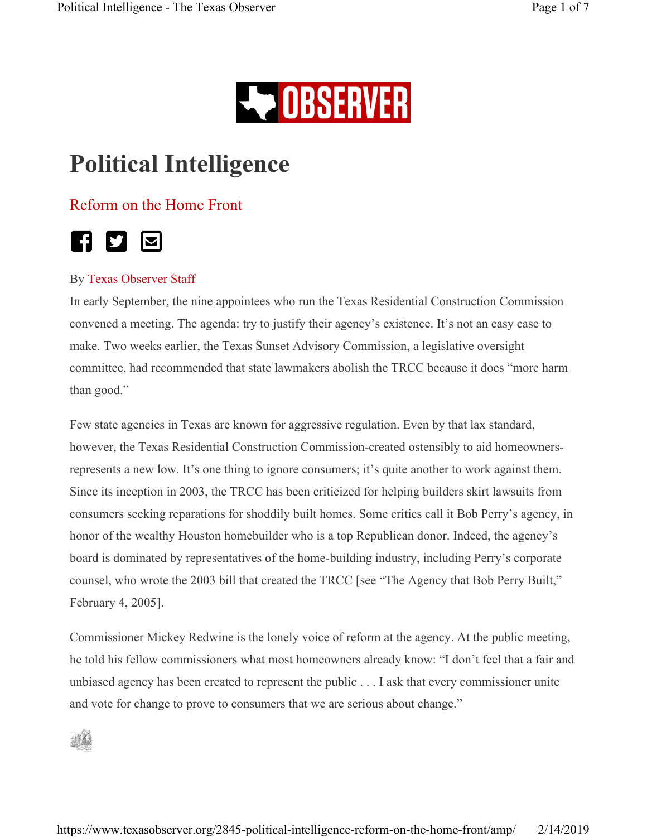

# **Political Intelligence**

# Reform on the Home Front



#### By Texas Observer Staff

In early September, the nine appointees who run the Texas Residential Construction Commission convened a meeting. The agenda: try to justify their agency's existence. It's not an easy case to make. Two weeks earlier, the Texas Sunset Advisory Commission, a legislative oversight committee, had recommended that state lawmakers abolish the TRCC because it does "more harm than good."

Few state agencies in Texas are known for aggressive regulation. Even by that lax standard, however, the Texas Residential Construction Commission-created ostensibly to aid homeownersrepresents a new low. It's one thing to ignore consumers; it's quite another to work against them. Since its inception in 2003, the TRCC has been criticized for helping builders skirt lawsuits from consumers seeking reparations for shoddily built homes. Some critics call it Bob Perry's agency, in honor of the wealthy Houston homebuilder who is a top Republican donor. Indeed, the agency's board is dominated by representatives of the home-building industry, including Perry's corporate counsel, who wrote the 2003 bill that created the TRCC [see "The Agency that Bob Perry Built," February 4, 2005].

Commissioner Mickey Redwine is the lonely voice of reform at the agency. At the public meeting, he told his fellow commissioners what most homeowners already know: "I don't feel that a fair and unbiased agency has been created to represent the public . . . I ask that every commissioner unite and vote for change to prove to consumers that we are serious about change."

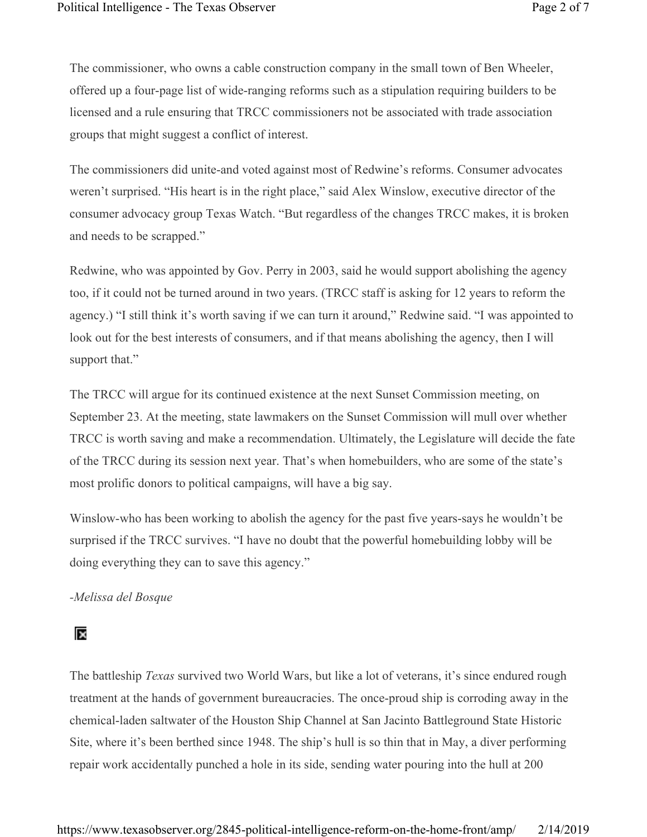The commissioner, who owns a cable construction company in the small town of Ben Wheeler, offered up a four-page list of wide-ranging reforms such as a stipulation requiring builders to be licensed and a rule ensuring that TRCC commissioners not be associated with trade association groups that might suggest a conflict of interest.

The commissioners did unite-and voted against most of Redwine's reforms. Consumer advocates weren't surprised. "His heart is in the right place," said Alex Winslow, executive director of the consumer advocacy group Texas Watch. "But regardless of the changes TRCC makes, it is broken and needs to be scrapped."

Redwine, who was appointed by Gov. Perry in 2003, said he would support abolishing the agency too, if it could not be turned around in two years. (TRCC staff is asking for 12 years to reform the agency.) "I still think it's worth saving if we can turn it around," Redwine said. "I was appointed to look out for the best interests of consumers, and if that means abolishing the agency, then I will support that."

The TRCC will argue for its continued existence at the next Sunset Commission meeting, on September 23. At the meeting, state lawmakers on the Sunset Commission will mull over whether TRCC is worth saving and make a recommendation. Ultimately, the Legislature will decide the fate of the TRCC during its session next year. That's when homebuilders, who are some of the state's most prolific donors to political campaigns, will have a big say.

Winslow-who has been working to abolish the agency for the past five years-says he wouldn't be surprised if the TRCC survives. "I have no doubt that the powerful homebuilding lobby will be doing everything they can to save this agency."

#### *-Melissa del Bosque*

#### $\overline{\mathbf{x}}$

The battleship *Texas* survived two World Wars, but like a lot of veterans, it's since endured rough treatment at the hands of government bureaucracies. The once-proud ship is corroding away in the chemical-laden saltwater of the Houston Ship Channel at San Jacinto Battleground State Historic Site, where it's been berthed since 1948. The ship's hull is so thin that in May, a diver performing repair work accidentally punched a hole in its side, sending water pouring into the hull at 200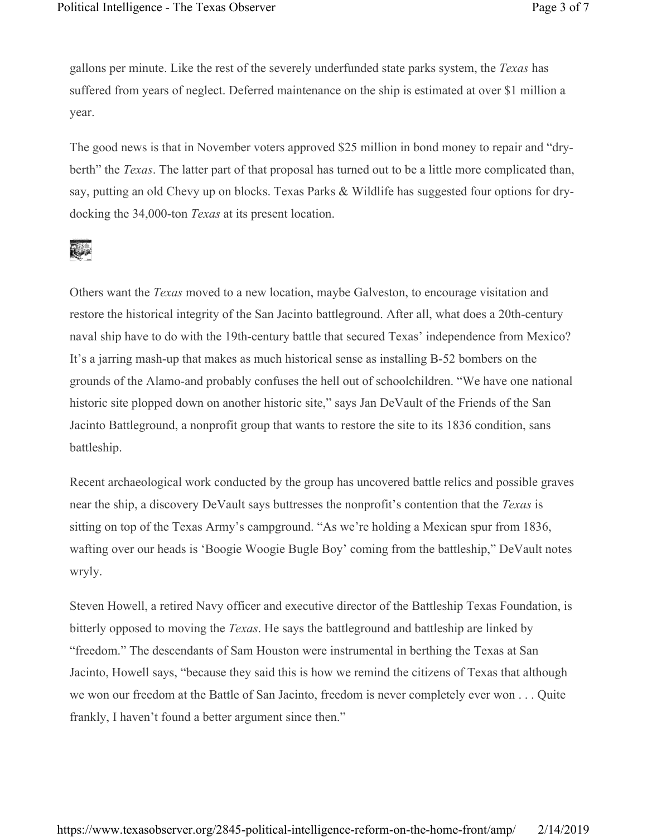gallons per minute. Like the rest of the severely underfunded state parks system, the *Texas* has suffered from years of neglect. Deferred maintenance on the ship is estimated at over \$1 million a year.

The good news is that in November voters approved \$25 million in bond money to repair and "dryberth" the *Texas*. The latter part of that proposal has turned out to be a little more complicated than, say, putting an old Chevy up on blocks. Texas Parks & Wildlife has suggested four options for drydocking the 34,000-ton *Texas* at its present location.

Others want the *Texas* moved to a new location, maybe Galveston, to encourage visitation and restore the historical integrity of the San Jacinto battleground. After all, what does a 20th-century naval ship have to do with the 19th-century battle that secured Texas' independence from Mexico? It's a jarring mash-up that makes as much historical sense as installing B-52 bombers on the grounds of the Alamo-and probably confuses the hell out of schoolchildren. "We have one national historic site plopped down on another historic site," says Jan DeVault of the Friends of the San Jacinto Battleground, a nonprofit group that wants to restore the site to its 1836 condition, sans battleship.

Recent archaeological work conducted by the group has uncovered battle relics and possible graves near the ship, a discovery DeVault says buttresses the nonprofit's contention that the *Texas* is sitting on top of the Texas Army's campground. "As we're holding a Mexican spur from 1836, wafting over our heads is 'Boogie Woogie Bugle Boy' coming from the battleship," DeVault notes wryly.

Steven Howell, a retired Navy officer and executive director of the Battleship Texas Foundation, is bitterly opposed to moving the *Texas*. He says the battleground and battleship are linked by "freedom." The descendants of Sam Houston were instrumental in berthing the Texas at San Jacinto, Howell says, "because they said this is how we remind the citizens of Texas that although we won our freedom at the Battle of San Jacinto, freedom is never completely ever won . . . Quite frankly, I haven't found a better argument since then."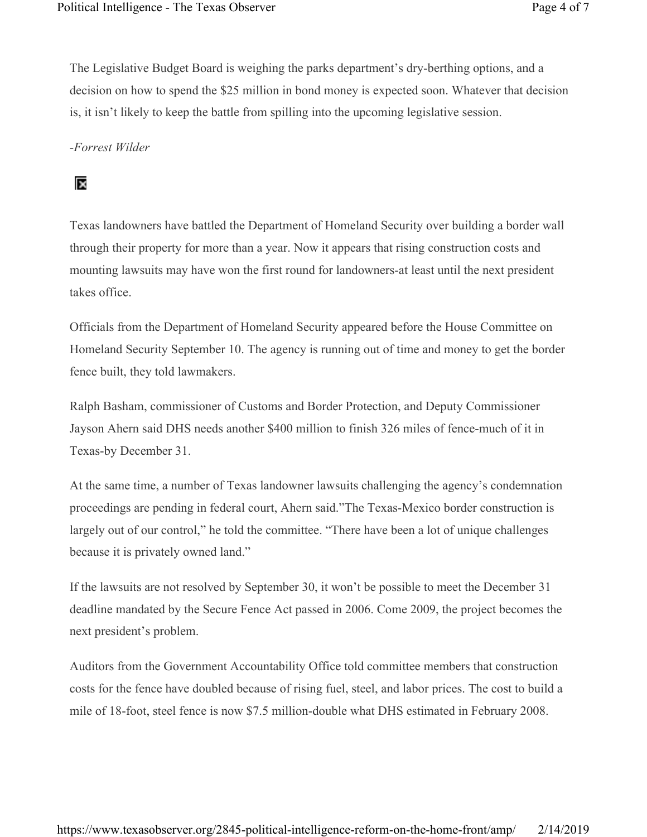The Legislative Budget Board is weighing the parks department's dry-berthing options, and a decision on how to spend the \$25 million in bond money is expected soon. Whatever that decision is, it isn't likely to keep the battle from spilling into the upcoming legislative session.

*-Forrest Wilder*

## $\overline{\mathbf{x}}$

Texas landowners have battled the Department of Homeland Security over building a border wall through their property for more than a year. Now it appears that rising construction costs and mounting lawsuits may have won the first round for landowners-at least until the next president takes office.

Officials from the Department of Homeland Security appeared before the House Committee on Homeland Security September 10. The agency is running out of time and money to get the border fence built, they told lawmakers.

Ralph Basham, commissioner of Customs and Border Protection, and Deputy Commissioner Jayson Ahern said DHS needs another \$400 million to finish 326 miles of fence-much of it in Texas-by December 31.

At the same time, a number of Texas landowner lawsuits challenging the agency's condemnation proceedings are pending in federal court, Ahern said."The Texas-Mexico border construction is largely out of our control," he told the committee. "There have been a lot of unique challenges because it is privately owned land."

If the lawsuits are not resolved by September 30, it won't be possible to meet the December 31 deadline mandated by the Secure Fence Act passed in 2006. Come 2009, the project becomes the next president's problem.

Auditors from the Government Accountability Office told committee members that construction costs for the fence have doubled because of rising fuel, steel, and labor prices. The cost to build a mile of 18-foot, steel fence is now \$7.5 million-double what DHS estimated in February 2008.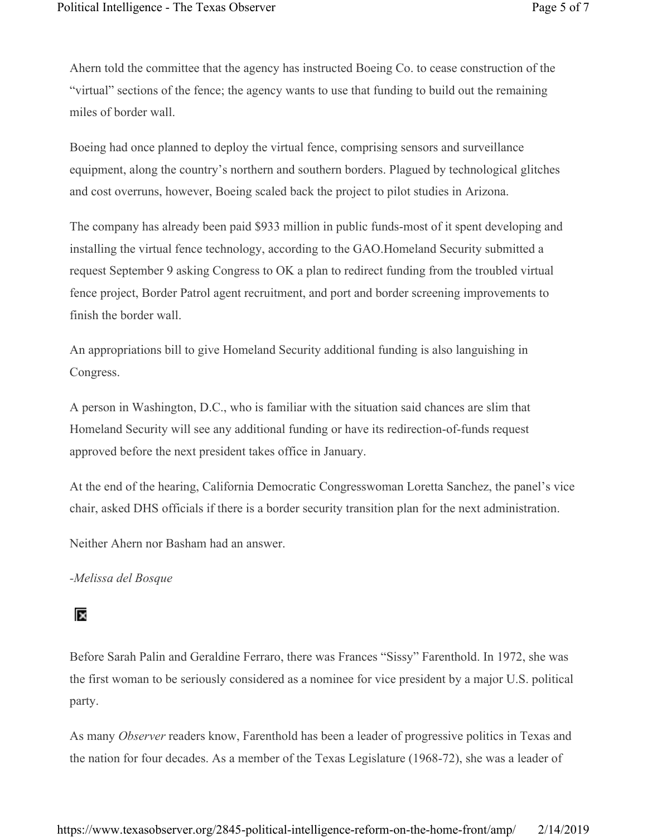Ahern told the committee that the agency has instructed Boeing Co. to cease construction of the "virtual" sections of the fence; the agency wants to use that funding to build out the remaining miles of border wall.

Boeing had once planned to deploy the virtual fence, comprising sensors and surveillance equipment, along the country's northern and southern borders. Plagued by technological glitches and cost overruns, however, Boeing scaled back the project to pilot studies in Arizona.

The company has already been paid \$933 million in public funds-most of it spent developing and installing the virtual fence technology, according to the GAO.Homeland Security submitted a request September 9 asking Congress to OK a plan to redirect funding from the troubled virtual fence project, Border Patrol agent recruitment, and port and border screening improvements to finish the border wall.

An appropriations bill to give Homeland Security additional funding is also languishing in Congress.

A person in Washington, D.C., who is familiar with the situation said chances are slim that Homeland Security will see any additional funding or have its redirection-of-funds request approved before the next president takes office in January.

At the end of the hearing, California Democratic Congresswoman Loretta Sanchez, the panel's vice chair, asked DHS officials if there is a border security transition plan for the next administration.

Neither Ahern nor Basham had an answer.

#### *-Melissa del Bosque*

### $\overline{\mathsf{x}}$

Before Sarah Palin and Geraldine Ferraro, there was Frances "Sissy" Farenthold. In 1972, she was the first woman to be seriously considered as a nominee for vice president by a major U.S. political party.

As many *Observer* readers know, Farenthold has been a leader of progressive politics in Texas and the nation for four decades. As a member of the Texas Legislature (1968-72), she was a leader of